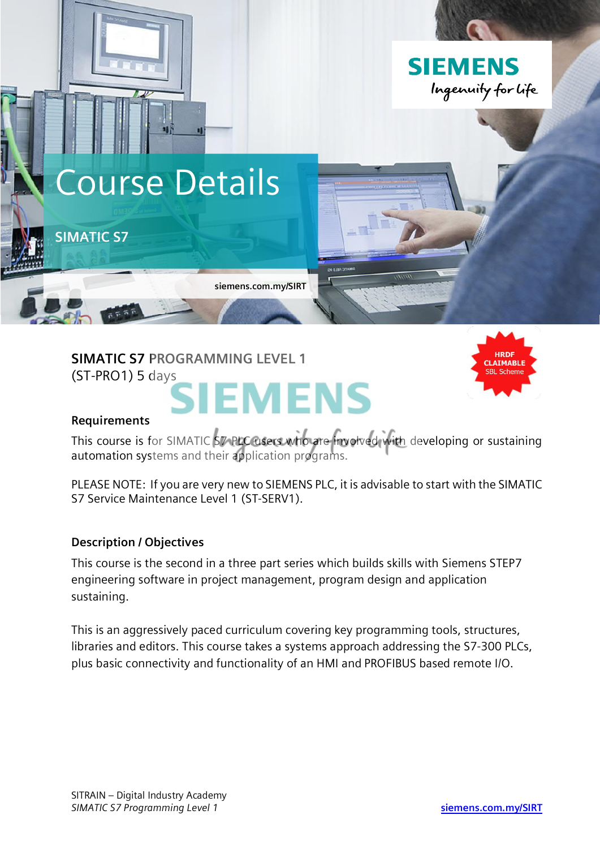

**SIMATIC S7 PROGRAMMING LEVEL 1** (ST-PRO1) 5 days

# **IEMENS**



#### **Requirements**

This course is for SIMATIC S7 PLC users who are involved with developing or sustaining automation systems and their application programs.

PLEASE NOTE: If you are very new to SIEMENS PLC, it is advisable to start with the SIMATIC S7 Service Maintenance Level 1 (ST-SERV1).

## **Description / Objectives**

This course is the second in a three part series which builds skills with Siemens STEP7 engineering software in project management, program design and application sustaining.

This is an aggressively paced curriculum covering key programming tools, structures, libraries and editors. This course takes a systems approach addressing the S7-300 PLCs, plus basic connectivity and functionality of an HMI and PROFIBUS based remote I/O.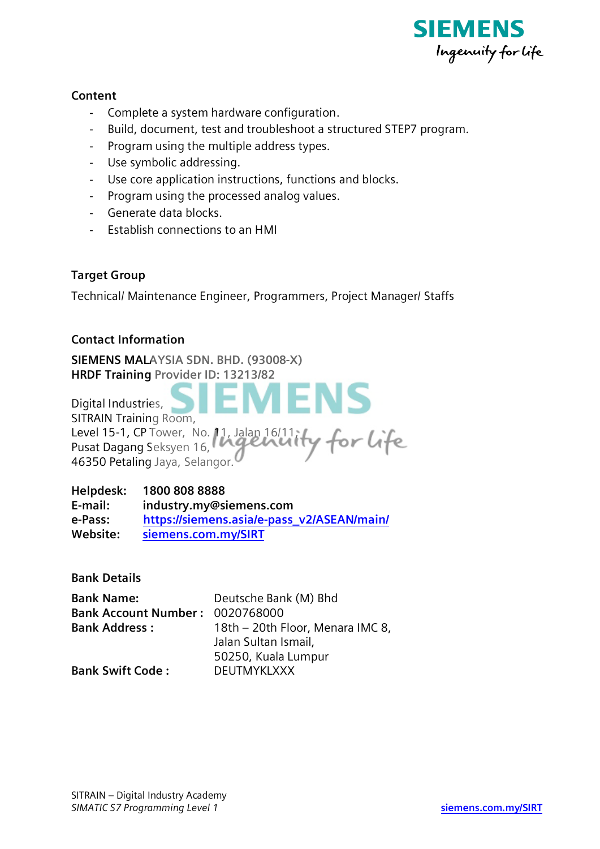

#### **Content**

- Complete a system hardware configuration.
- Build, document, test and troubleshoot a structured STEP7 program.
- Program using the multiple address types.
- Use symbolic addressing.
- Use core application instructions, functions and blocks.
- Program using the processed analog values.
- Generate data blocks.
- Establish connections to an HMI

## **Target Group**

Technical/ Maintenance Engineer, Programmers, Project Manager/ Staffs

#### **Contact Information**

**SIEMENS MALAYSIA SDN. BHD. (93008-X) HRDF Training Provider ID: 13213/82**

**IENS** Digital Industries, SITRAIN Training Room, Level 15-1, CP Tower, No. 11, Jalan 16/11, or life Pusat Dagang Seksyen 16, 46350 Petaling Jaya, Selangor.

**Helpdesk: 1800 808 8888 E-mail: industry.my@siemens.com e-Pass: https://siemens.asia/e-pass\_v2/ASEAN/main/ Website: siemens.com.my/SIRT**

**Bank Details**

| <b>Bank Name:</b>               | Deutsche Bank (M) Bhd            |
|---------------------------------|----------------------------------|
| Bank Account Number: 0020768000 |                                  |
| <b>Bank Address:</b>            | 18th - 20th Floor, Menara IMC 8, |
|                                 | Jalan Sultan Ismail,             |
|                                 | 50250, Kuala Lumpur              |
| <b>Bank Swift Code:</b>         | <b>DEUTMYKLXXX</b>               |